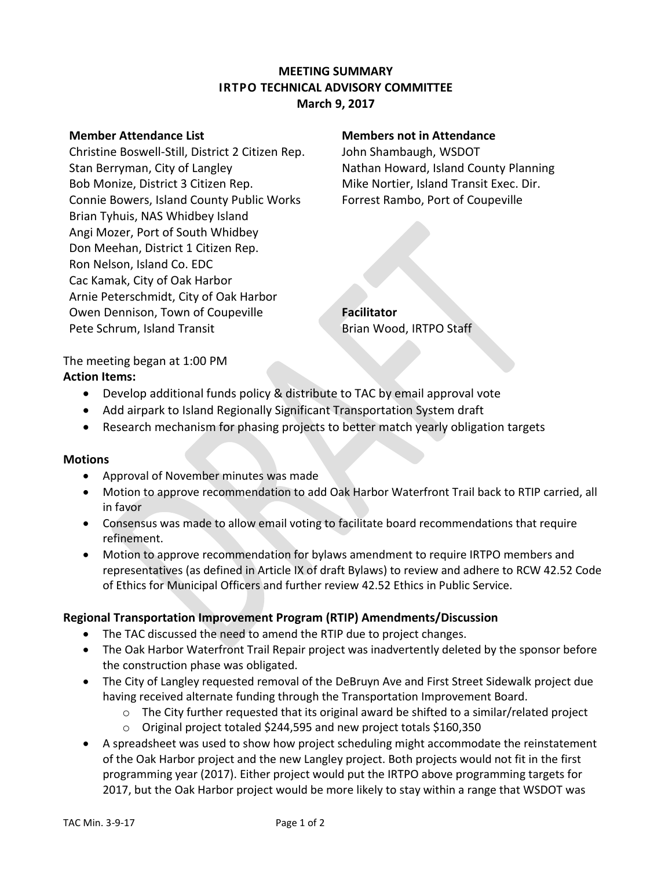### **MEETING SUMMARY IRTPO TECHNICAL ADVISORY COMMITTEE March 9, 2017**

Christine Boswell-Still, District 2 Citizen Rep. John Shambaugh, WSDOT Stan Berryman, City of Langley Nathan Howard, Island County Planning Bob Monize, District 3 Citizen Rep. Mike Nortier, Island Transit Exec. Dir. Connie Bowers, Island County Public Works Forrest Rambo, Port of Coupeville Brian Tyhuis, NAS Whidbey Island Angi Mozer, Port of South Whidbey Don Meehan, District 1 Citizen Rep. Ron Nelson, Island Co. EDC Cac Kamak, City of Oak Harbor Arnie Peterschmidt, City of Oak Harbor Owen Dennison, Town of Coupeville **Facilitator** Pete Schrum, Island Transit Brian Wood, IRTPO Staff

### **Member Attendance List Members not in Attendance**

The meeting began at 1:00 PM **Action Items:**

- Develop additional funds policy & distribute to TAC by email approval vote
- Add airpark to Island Regionally Significant Transportation System draft
- Research mechanism for phasing projects to better match yearly obligation targets

#### **Motions**

- Approval of November minutes was made
- Motion to approve recommendation to add Oak Harbor Waterfront Trail back to RTIP carried, all in favor
- Consensus was made to allow email voting to facilitate board recommendations that require refinement.
- Motion to approve recommendation for bylaws amendment to require IRTPO members and representatives (as defined in Article IX of draft Bylaws) to review and adhere to RCW 42.52 Code of Ethics for Municipal Officers and further review 42.52 Ethics in Public Service.

#### **Regional Transportation Improvement Program (RTIP) Amendments/Discussion**

- The TAC discussed the need to amend the RTIP due to project changes.
- The Oak Harbor Waterfront Trail Repair project was inadvertently deleted by the sponsor before the construction phase was obligated.
- The City of Langley requested removal of the DeBruyn Ave and First Street Sidewalk project due having received alternate funding through the Transportation Improvement Board.
	- $\circ$  The City further requested that its original award be shifted to a similar/related project
	- o Original project totaled \$244,595 and new project totals \$160,350
- A spreadsheet was used to show how project scheduling might accommodate the reinstatement of the Oak Harbor project and the new Langley project. Both projects would not fit in the first programming year (2017). Either project would put the IRTPO above programming targets for 2017, but the Oak Harbor project would be more likely to stay within a range that WSDOT was